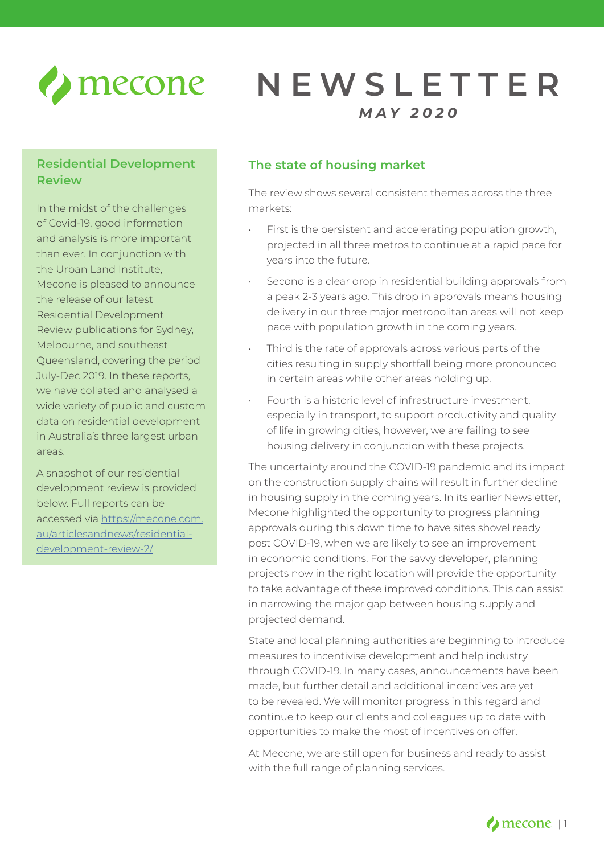

# **NEWSLETTER** *MAY 2020*

# **Residential Development Review**

In the midst of the challenges of Covid-19, good information and analysis is more important than ever. In conjunction with the Urban Land Institute, Mecone is pleased to announce the release of our latest Residential Development Review publications for Sydney, Melbourne, and southeast Queensland, covering the period July-Dec 2019. In these reports, we have collated and analysed a wide variety of public and custom data on residential development in Australia's three largest urban areas.

A snapshot of our residential development review is provided below. Full reports can be accessed via [https://mecone.com.](https://mecone.com.au/articlesandnews/residential-development-review-2/) [au/articlesandnews/residential](https://mecone.com.au/articlesandnews/residential-development-review-2/)[development-review-2/](https://mecone.com.au/articlesandnews/residential-development-review-2/)

# **The state of housing market**

The review shows several consistent themes across the three markets:

- First is the persistent and accelerating population growth, projected in all three metros to continue at a rapid pace for years into the future.
- Second is a clear drop in residential building approvals from a peak 2-3 years ago. This drop in approvals means housing delivery in our three major metropolitan areas will not keep pace with population growth in the coming years.
- Third is the rate of approvals across various parts of the cities resulting in supply shortfall being more pronounced in certain areas while other areas holding up.
- Fourth is a historic level of infrastructure investment, especially in transport, to support productivity and quality of life in growing cities, however, we are failing to see housing delivery in conjunction with these projects.

The uncertainty around the COVID-19 pandemic and its impact on the construction supply chains will result in further decline in housing supply in the coming years. In its earlier Newsletter, Mecone highlighted the opportunity to progress planning approvals during this down time to have sites shovel ready post COVID-19, when we are likely to see an improvement in economic conditions. For the savvy developer, planning projects now in the right location will provide the opportunity to take advantage of these improved conditions. This can assist in narrowing the major gap between housing supply and projected demand.

State and local planning authorities are beginning to introduce measures to incentivise development and help industry through COVID-19. In many cases, announcements have been made, but further detail and additional incentives are yet to be revealed. We will monitor progress in this regard and continue to keep our clients and colleagues up to date with opportunities to make the most of incentives on offer.

At Mecone, we are still open for business and ready to assist with the full range of planning services.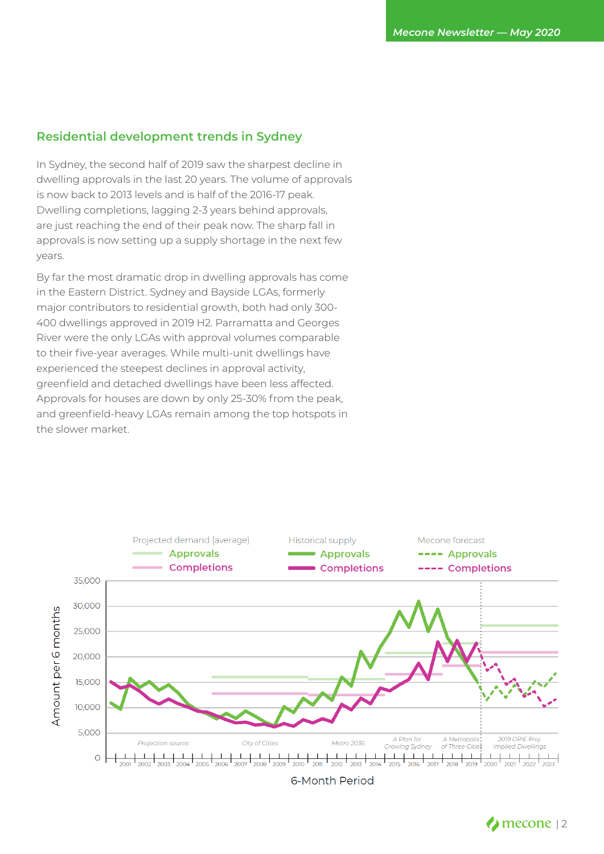### **Residential development trends in Sydney**

In Sydney, the second half of 2019 saw the sharpest decline in dwelling approvals in the last 20 years. The volume of approvals is now back to 2013 levels and is half of the 2016-17 peak. Dwelling completions, lagging 2-3 years behind approvals, are just reaching the end of their peak now. The sharp fall in approvals is now setting up a supply shortage in the next few years.

By far the most dramatic drop in dwelling approvals has come in the Eastern District. Sydney and Bayside LGAs, formerly major contributors to residential growth, both had only 300- 400 dwellings approved in 2019 H2. Parramatta and Georges River were the only LGAs with approval volumes comparable to their five-year averages. While multi-unit dwellings have experienced the steepest declines in approval activity, greenfield and detached dwellings have been less affected. Approvals for houses are down by only 25-30% from the peak, and greenfield-heavy LGAs remain among the top hotspots in the slower market.



**6-Month Period**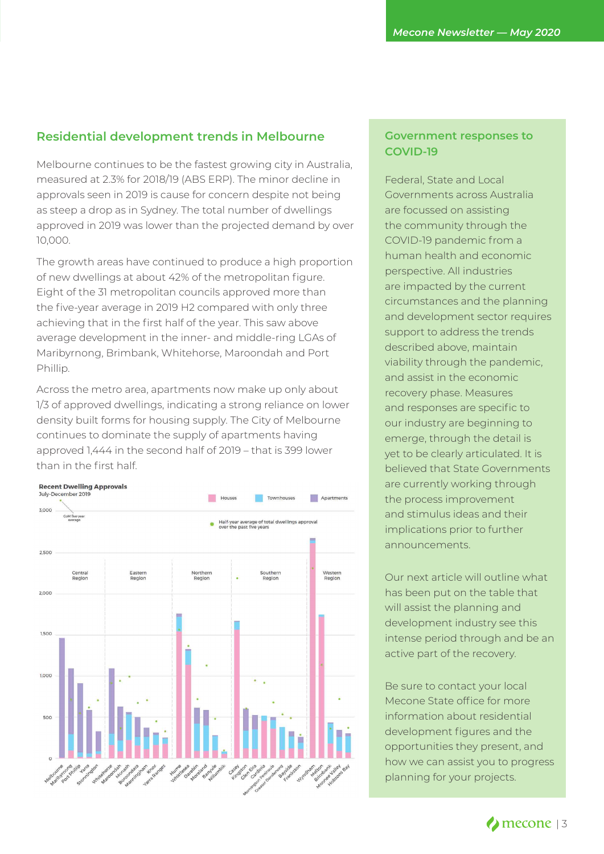## **Residential development trends in Melbourne**

Melbourne continues to be the fastest growing city in Australia, measured at 2.3% for 2018/19 (ABS ERP). The minor decline in approvals seen in 2019 is cause for concern despite not being as steep a drop as in Sydney. The total number of dwellings approved in 2019 was lower than the projected demand by over 10,000.

The growth areas have continued to produce a high proportion of new dwellings at about 42% of the metropolitan figure. Eight of the 31 metropolitan councils approved more than the five-year average in 2019 H2 compared with only three achieving that in the first half of the year. This saw above average development in the inner- and middle-ring LGAs of Maribyrnong, Brimbank, Whitehorse, Maroondah and Port Phillip.

Across the metro area, apartments now make up only about 1/3 of approved dwellings, indicating a strong reliance on lower density built forms for housing supply. The City of Melbourne continues to dominate the supply of apartments having approved 1,444 in the second half of 2019 – that is 399 lower than in the first half.



#### **Government responses to COVID-19**

Federal, State and Local Governments across Australia are focussed on assisting the community through the COVID-19 pandemic from a human health and economic perspective. All industries are impacted by the current circumstances and the planning and development sector requires support to address the trends described above, maintain viability through the pandemic, and assist in the economic recovery phase. Measures and responses are specific to our industry are beginning to emerge, through the detail is yet to be clearly articulated. It is believed that State Governments are currently working through the process improvement and stimulus ideas and their implications prior to further announcements.

Our next article will outline what has been put on the table that will assist the planning and development industry see this intense period through and be an active part of the recovery.

Be sure to contact your local Mecone State office for more information about residential development figures and the opportunities they present, and how we can assist you to progress planning for your projects.

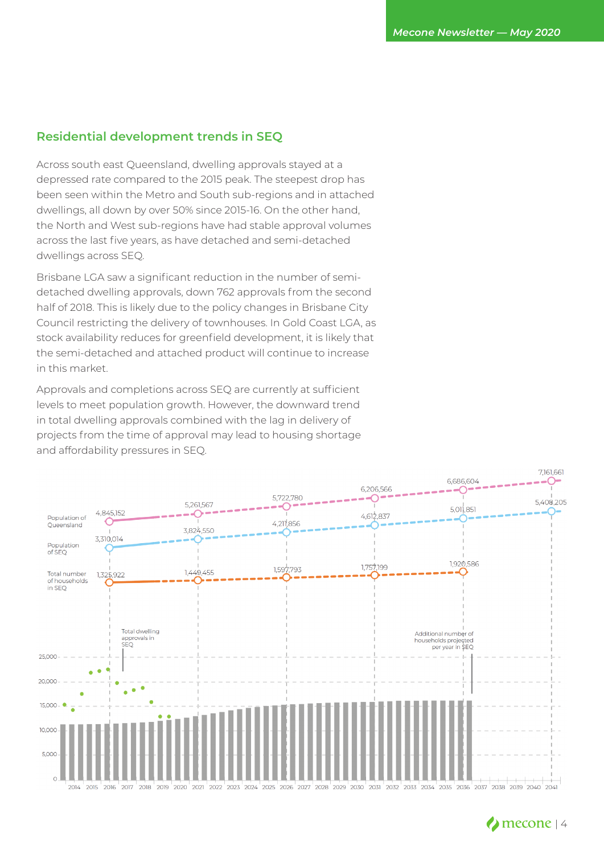### **Residential development trends in SEQ**

Across south east Queensland, dwelling approvals stayed at a depressed rate compared to the 2015 peak. The steepest drop has been seen within the Metro and South sub-regions and in attached dwellings, all down by over 50% since 2015-16. On the other hand, the North and West sub-regions have had stable approval volumes across the last five years, as have detached and semi-detached dwellings across SEQ.

Brisbane LGA saw a significant reduction in the number of semidetached dwelling approvals, down 762 approvals from the second half of 2018. This is likely due to the policy changes in Brisbane City Council restricting the delivery of townhouses. In Gold Coast LGA, as stock availability reduces for greenfield development, it is likely that the semi-detached and attached product will continue to increase in this market.

Approvals and completions across SEQ are currently at sufficient levels to meet population growth. However, the downward trend in total dwelling approvals combined with the lag in delivery of projects from the time of approval may lead to housing shortage and affordability pressures in SEQ.

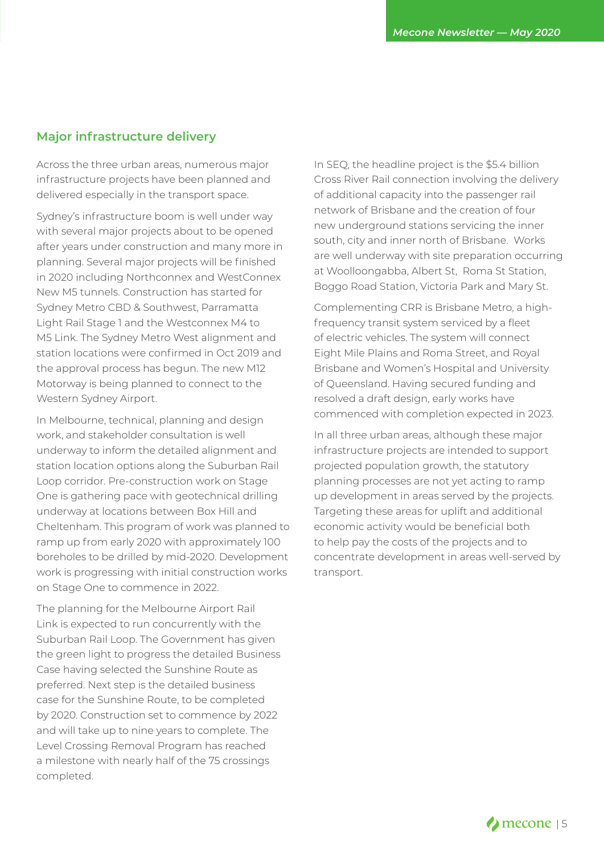### **Major infrastructure delivery**

Across the three urban areas, numerous major infrastructure projects have been planned and delivered especially in the transport space.

Sydney's infrastructure boom is well under way with several major projects about to be opened after years under construction and many more in planning. Several major projects will be finished in 2020 including Northconnex and WestConnex New M5 tunnels. Construction has started for Sydney Metro CBD & Southwest, Parramatta Light Rail Stage 1 and the Westconnex M4 to M5 Link. The Sydney Metro West alignment and station locations were confirmed in Oct 2019 and the approval process has begun. The new M12 Motorway is being planned to connect to the Western Sydney Airport.

In Melbourne, technical, planning and design work, and stakeholder consultation is well underway to inform the detailed alignment and station location options along the Suburban Rail Loop corridor. Pre-construction work on Stage One is gathering pace with geotechnical drilling underway at locations between Box Hill and Cheltenham. This program of work was planned to ramp up from early 2020 with approximately 100 boreholes to be drilled by mid-2020. Development work is progressing with initial construction works on Stage One to commence in 2022.

The planning for the Melbourne Airport Rail Link is expected to run concurrently with the Suburban Rail Loop. The Government has given the green light to progress the detailed Business Case having selected the Sunshine Route as preferred. Next step is the detailed business case for the Sunshine Route, to be completed by 2020. Construction set to commence by 2022 and will take up to nine years to complete. The Level Crossing Removal Program has reached a milestone with nearly half of the 75 crossings completed.

In SEQ, the headline project is the \$5.4 billion Cross River Rail connection involving the delivery of additional capacity into the passenger rail network of Brisbane and the creation of four new underground stations servicing the inner south, city and inner north of Brisbane. Works are well underway with site preparation occurring at Woolloongabba, Albert St, Roma St Station, Boggo Road Station, Victoria Park and Mary St.

Complementing CRR is Brisbane Metro, a highfrequency transit system serviced by a fleet of electric vehicles. The system will connect Eight Mile Plains and Roma Street, and Royal Brisbane and Women's Hospital and University of Queensland. Having secured funding and resolved a draft design, early works have commenced with completion expected in 2023.

In all three urban areas, although these major infrastructure projects are intended to support projected population growth, the statutory planning processes are not yet acting to ramp up development in areas served by the projects. Targeting these areas for uplift and additional economic activity would be beneficial both to help pay the costs of the projects and to concentrate development in areas well-served by transport.